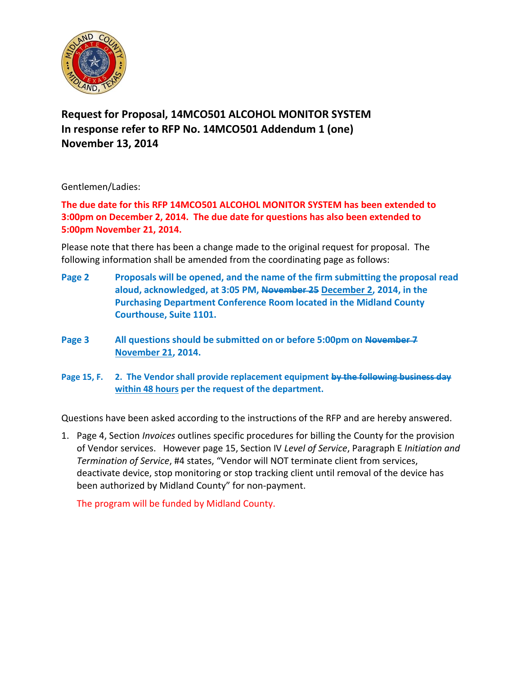

## **Request for Proposal, 14MCO501 ALCOHOL MONITOR SYSTEM In response refer to RFP No. 14MCO501 Addendum 1 (one) November 13, 2014**

Gentlemen/Ladies:

**The due date for this RFP 14MCO501 ALCOHOL MONITOR SYSTEM has been extended to 3:00pm on December 2, 2014. The due date for questions has also been extended to 5:00pm November 21, 2014.**

Please note that there has been a change made to the original request for proposal. The following information shall be amended from the coordinating page as follows:

- **Page 2 Proposals will be opened, and the name of the firm submitting the proposal read aloud, acknowledged, at 3:05 PM, November 25 December 2, 2014, in the Purchasing Department Conference Room located in the Midland County Courthouse, Suite 1101.**
- **Page 3 All questions should be submitted on or before 5:00pm on November 7 November 21, 2014.**
- **Page 15, F. 2. The Vendor shall provide replacement equipment by the following business day within 48 hours per the request of the department.**

Questions have been asked according to the instructions of the RFP and are hereby answered.

1. Page 4, Section *Invoices* outlines specific procedures for billing the County for the provision of Vendor services. However page 15, Section IV *Level of Service*, Paragraph E *Initiation and Termination of Service*, #4 states, "Vendor will NOT terminate client from services, deactivate device, stop monitoring or stop tracking client until removal of the device has been authorized by Midland County" for non-payment.

The program will be funded by Midland County.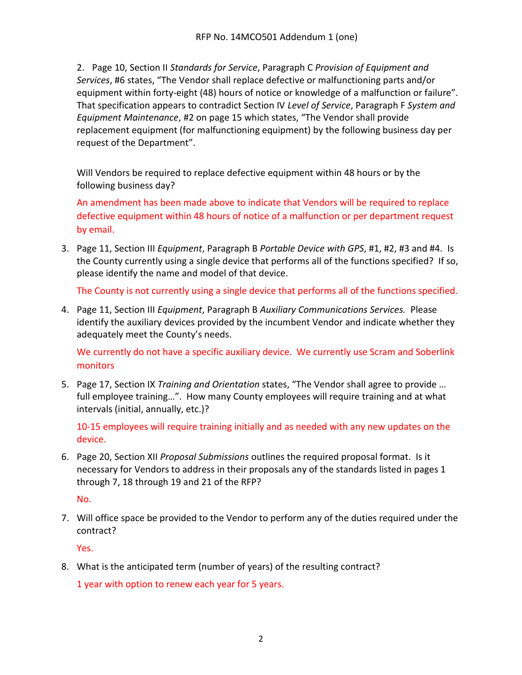2. Page 10, Section II *Standards for Service*, Paragraph C *Provision of Equipment and Services*, #6 states, "The Vendor shall replace defective or malfunctioning parts and/or equipment within forty-eight (48) hours of notice or knowledge of a malfunction or failure". That specification appears to contradict Section IV *Level of Service*, Paragraph F *System and Equipment Maintenance*, #2 on page 15 which states, "The Vendor shall provide replacement equipment (for malfunctioning equipment) by the following business day per request of the Department".

Will Vendors be required to replace defective equipment within 48 hours or by the following business day?

An amendment has been made above to indicate that Vendors will be required to replace defective equipment within 48 hours of notice of a malfunction or per department request by email.

3. Page 11, Section III *Equipment*, Paragraph B *Portable Device with GPS*, #1, #2, #3 and #4. Is the County currently using a single device that performs all of the functions specified? If so, please identify the name and model of that device.

The County is not currently using a single device that performs all of the functions specified.

4. Page 11, Section III *Equipment*, Paragraph B *Auxiliary Communications Services.* Please identify the auxiliary devices provided by the incumbent Vendor and indicate whether they adequately meet the County's needs.

We currently do not have a specific auxiliary device. We currently use Scram and Soberlink monitors

5. Page 17, Section IX *Training and Orientation* states, "The Vendor shall agree to provide … full employee training…". How many County employees will require training and at what intervals (initial, annually, etc.)?

10-15 employees will require training initially and as needed with any new updates on the device.

6. Page 20, Section XII *Proposal Submissions* outlines the required proposal format. Is it necessary for Vendors to address in their proposals any of the standards listed in pages 1 through 7, 18 through 19 and 21 of the RFP?

No.

7. Will office space be provided to the Vendor to perform any of the duties required under the contract?

Yes.

8. What is the anticipated term (number of years) of the resulting contract?

1 year with option to renew each year for 5 years.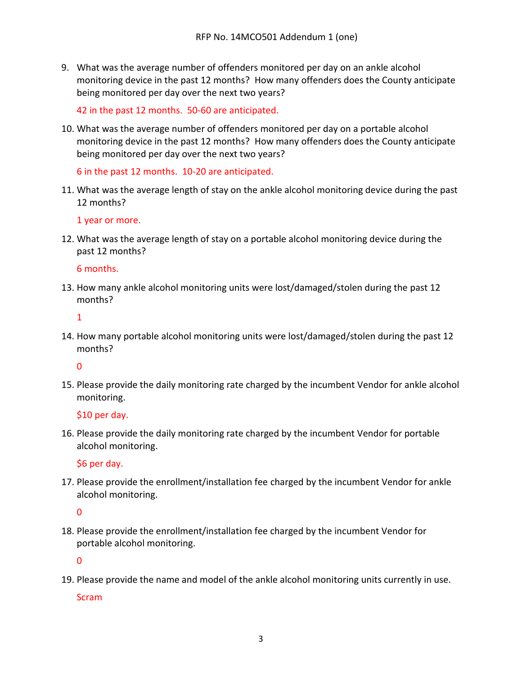9. What was the average number of offenders monitored per day on an ankle alcohol monitoring device in the past 12 months? How many offenders does the County anticipate being monitored per day over the next two years?

42 in the past 12 months. 50-60 are anticipated.

10. What was the average number of offenders monitored per day on a portable alcohol monitoring device in the past 12 months? How many offenders does the County anticipate being monitored per day over the next two years?

6 in the past 12 months. 10-20 are anticipated.

11. What was the average length of stay on the ankle alcohol monitoring device during the past 12 months?

1 year or more.

12. What was the average length of stay on a portable alcohol monitoring device during the past 12 months?

6 months.

13. How many ankle alcohol monitoring units were lost/damaged/stolen during the past 12 months?

1

14. How many portable alcohol monitoring units were lost/damaged/stolen during the past 12 months?

0

15. Please provide the daily monitoring rate charged by the incumbent Vendor for ankle alcohol monitoring.

\$10 per day.

16. Please provide the daily monitoring rate charged by the incumbent Vendor for portable alcohol monitoring.

\$6 per day.

17. Please provide the enrollment/installation fee charged by the incumbent Vendor for ankle alcohol monitoring.

 $\Omega$ 

18. Please provide the enrollment/installation fee charged by the incumbent Vendor for portable alcohol monitoring.

0

19. Please provide the name and model of the ankle alcohol monitoring units currently in use.

**Scram**